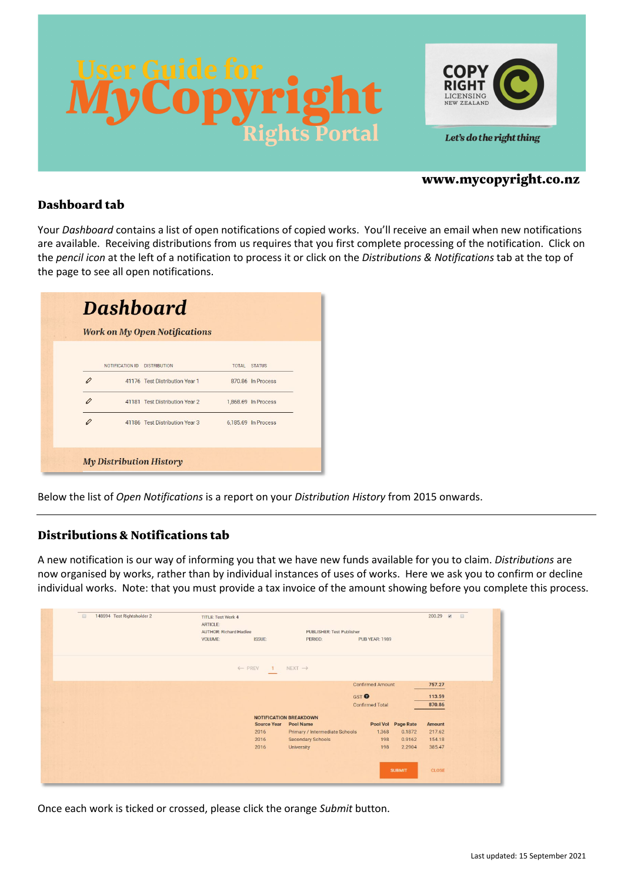



## www.mycopyright.co.nz

## Dashboard tab

Your *Dashboard* contains a list of open notifications of copied works. You'll receive an email when new notifications are available. Receiving distributions from us requires that you first complete processing of the notification. Click on the *pencil icon* at the left of a notification to process it or click on the *Distributions & Notifications* tab at the top of the page to see all open notifications.

|   |                              | <b>Work on My Open Notifications</b> |                     |
|---|------------------------------|--------------------------------------|---------------------|
|   | NOTIFICATION ID DISTRIBUTION |                                      | <b>TOTAL STATUS</b> |
|   |                              | 41176 Test Distribution Year 1       | 870.86 In Process   |
|   |                              | 41181 Test Distribution Year 2       | 1,868.69 In Process |
| 0 |                              | 41186 Test Distribution Year 3       | 6,185.69 In Process |

Below the list of *Open Notifications* is a report on your *Distribution History* from 2015 onwards.

## Distributions & Notifications tab

A new notification is our way of informing you that we have new funds available for you to claim. *Distributions* are now organised by works, rather than by individual instances of uses of works. Here we ask you to confirm or decline individual works. Note: that you must provide a tax invoice of the amount showing before you complete this process.

| 148594 Test Rightsholder 2<br>田 | <b>TITLE: Test Work 4</b><br>ARTICLE: |                                  |                         | 200.29 @         |  |
|---------------------------------|---------------------------------------|----------------------------------|-------------------------|------------------|--|
|                                 | <b>AUTHOR: Richard Hadlee</b>         | <b>PUBLISHER: Test Publisher</b> |                         |                  |  |
|                                 | ISSUE:<br>VOLUME:                     | PERIOD:                          | <b>PUB YEAR: 1989</b>   |                  |  |
|                                 | ← PREV<br>$\vert$ 1                   | $NEXT\rightarrow$                |                         |                  |  |
|                                 |                                       |                                  | <b>Confirmed Amount</b> | 757.27           |  |
|                                 |                                       | GST <sup>O</sup>                 |                         | 113.59           |  |
|                                 |                                       |                                  | <b>Confirmed Total</b>  | 870.86           |  |
|                                 |                                       | <b>NOTIFICATION BREAKDOWN</b>    |                         |                  |  |
|                                 | <b>Source Year</b>                    | <b>Pool Name</b>                 | Pool Vol Page Rate      | Amount           |  |
|                                 | 2016                                  | Primary / Intermediate Schools   | 1,368                   | 217.62<br>0.1872 |  |
|                                 | 2016                                  | <b>Secondary Schools</b>         | 198                     | 0.9162<br>154.18 |  |
|                                 | 2016                                  | <b>University</b>                | 198                     | 385.47<br>2.2904 |  |
|                                 |                                       |                                  | <b>SUBMIT</b>           | <b>CLOSE</b>     |  |

Once each work is ticked or crossed, please click the orange *Submit* button.